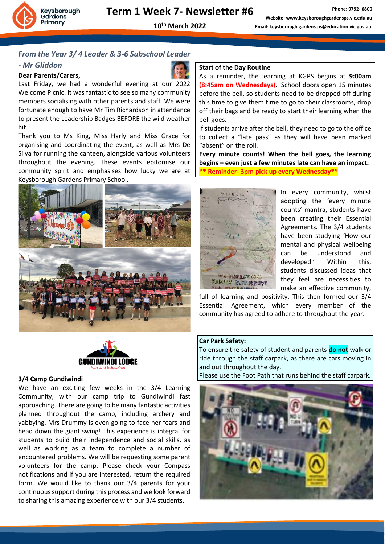

#### *From the Year 3/ 4 Leader & 3-6 Subschool Leader*

#### *- Mr Gliddon*

#### **Dear Parents/Carers,**



Last Friday, we had a wonderful evening at our 2022 Welcome Picnic. It was fantastic to see so many community members socialising with other parents and staff. We were fortunate enough to have Mr Tim Richardson in attendance to present the Leadership Badges BEFORE the wild weather hit.

Thank you to Ms King, Miss Harly and Miss Grace for organising and coordinating the event, as well as Mrs De Silva for running the canteen, alongside various volunteers throughout the evening. These events epitomise our community spirit and emphasises how lucky we are at Keysborough Gardens Primary School.





#### **3/4 Camp Gundiwindi**

We have an exciting few weeks in the 3/4 Learning Community, with our camp trip to Gundiwindi fast approaching. There are going to be many fantastic activities planned throughout the camp, including archery and yabbying. Mrs Drummy is even going to face her fears and head down the giant swing! This experience is integral for students to build their independence and social skills, as well as working as a team to complete a number of encountered problems. We will be requesting some parent volunteers for the camp. Please check your Compass notifications and if you are interested, return the required form. We would like to thank our 3/4 parents for your continuous support during this process and we look forward to sharing this amazing experience with our 3/4 students.

#### **Start of the Day Routine**

As a reminder, the learning at KGPS begins at **9:00am (8:45am on Wednesdays).** School doors open 15 minutes before the bell, so students need to be dropped off during this time to give them time to go to their classrooms, drop off their bags and be ready to start their learning when the bell goes.

If students arrive after the bell, they need to go to the office to collect a "late pass" as they will have been marked "absent" on the roll.

**Every minute counts! When the bell goes, the learning begins – even just a few minutes late can have an impact. \*\* Reminder- 3pm pick up every Wednesday\*\***



In every community, whilst adopting the 'every minute counts' mantra, students have been creating their Essential Agreements. The 3/4 students have been studying 'How our mental and physical wellbeing can be understood and developed.' Within this, students discussed ideas that they feel are necessities to make an effective community,

full of learning and positivity. This then formed our 3/4 Essential Agreement, which every member of the community has agreed to adhere to throughout the year.

#### **Car Park Safety:**

To ensure the safety of student and parents **do not** walk or ride through the staff carpark, as there are cars moving in and out throughout the day.

Please use the Foot Path that runs behind the staff carpark.

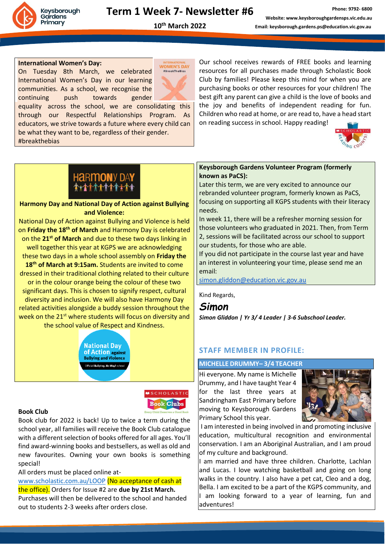

**10th March 2022**

#### **International Women's Day:**

On Tuesday 8th March, we celebrated International Women's Day in our learning communities. As a school, we recognise the continuing push towards gender



equality across the school, we are consolidating this through our Respectful Relationships Program. As educators, we strive towards a future where every child can be what they want to be, regardless of their gender. #breakthebias

Our school receives rewards of FREE books and learning resources for all purchases made through Scholastic Book Club by families! Please keep this mind for when you are purchasing books or other resources for your children! The best gift any parent can give a child is the love of books and the joy and benefits of independent reading for fun. Children who read at home, or are read to, have a head start on reading success in school. Happy reading!



# **HARMONY DAY**

#### **Harmony Day and National Day of Action against Bullying and Violence:**

National Day of Action against Bullying and Violence is held on **Friday the 18th of March** and Harmony Day is celebrated on the **21st of March** and due to these two days linking in well together this year at KGPS we are acknowledging these two days in a whole school assembly on **Friday the 18th of March at 9:15am.** Students are invited to come dressed in their traditional clothing related to their culture or in the colour orange being the colour of these two significant days. This is chosen to signify respect, cultural diversity and inclusion. We will also have Harmony Day related activities alongside a buddy session throughout the week on the 21<sup>st</sup> where students will focus on diversity and the school value of Respect and Kindness.



#### **Book Club**

Book club for 2022 is back! Up to twice a term during the school year, all families will receive the Book Club catalogue with a different selection of books offered for all ages. You'll find award-winning books and bestsellers, as well as old and new favourites. Owning your own books is something special!

All orders must be placed online at-

[www.scholastic.com.au/LOOP](http://www.scholastic.com.au/LOOP) (No acceptance of cash at the office). Orders for Issue #2 are **due by 21st March.** Purchases will then be delivered to the school and handed out to students 2-3 weeks after orders close.

#### **Keysborough Gardens Volunteer Program (formerly known as PaCS):**

Later this term, we are very excited to announce our rebranded volunteer program, formerly known as PaCS, focusing on supporting all KGPS students with their literacy needs.

In week 11, there will be a refresher morning session for those volunteers who graduated in 2021. Then, from Term 2, sessions will be facilitated across our school to support our students, for those who are able.

If you did not participate in the course last year and have an interest in volunteering your time, please send me an email:

[simon.gliddon@education.vic.gov.au](mailto:simon.gliddon@education.vic.gov.au)

Kind Regards,

*Simon*

**MSCHOLASTIC Book Clubs** 

*Simon Gliddon | Yr 3/ 4 Leader | 3-6 Subschool Leader.*

#### **STAFF MEMBER IN PROFILE:**

#### **MICHELLE DRUMMY– 3/4 TEACHER**

Hi everyone. My name is Michelle Drummy, and I have taught Year 4 for the last three years at Sandringham East Primary before moving to Keysborough Gardens Primary School this year.



I am interested in being involved in and promoting inclusive education, multicultural recognition and environmental conservation. I am an Aboriginal Australian, and I am proud of my culture and background.

I am married and have three children. Charlotte, Lachlan and Lucas. I love watching basketball and going on long walks in the country. I also have a pet cat, Cleo and a dog, Bella. I am excited to be a part of the KGPS community, and I am looking forward to a year of learning, fun and adventures!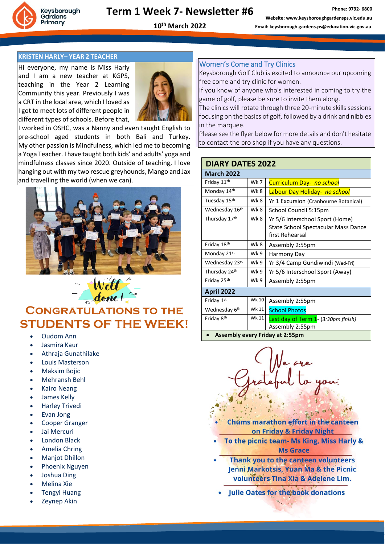

**10th March 2022**

**Phone: 9792- 6800**

#### **KRISTEN HARLY– YEAR 2 TEACHER**

Hi everyone, my name is Miss Harly and I am a new teacher at KGPS, teaching in the Year 2 Learning Community this year. Previously I was a CRT in the local area, which I loved as I got to meet lots of different people in different types of schools. Before that,



I worked in OSHC, was a Nanny and even taught English to pre-school aged students in both Bali and Turkey. My other passion is Mindfulness, which led me to becoming a Yoga Teacher. I have taught both kids' and adults' yoga and mindfulness classes since 2020. Outside of teaching, I love hanging out with my two rescue greyhounds, Mango and Jax and travelling the world (when we can).



# CONGRATULATIONS TO THE **STUDENTS OF THE WEEK!**

- Oudom Ann
- Jasmira Kaur
- Athraja Gunathilake
- Louis Masterson
- Maksim Bojic
- Mehransh Behl
- Kairo Neang
- James Kelly
- Harley Trivedi
- Evan Jong
- Cooper Granger
- Jai Mercuri
- London Black
- Amelia Chring
- Manjot Dhillon
- Phoenix Nguyen
- Joshua Ding
- Melina Xie
- Tengyi Huang
- Zeynep Akin

#### Women's Come and Try Clinics

Keysborough Golf Club is excited to announce our upcoming free come and try clinic for women.

If you know of anyone who's interested in coming to try the game of golf, please be sure to invite them along.

The clinics will rotate through three 20-minute skills sessions focusing on the basics of golf, followed by a drink and nibbles in the marquee.

Please see the flyer below for more details and don't hesitate to contact the pro shop if you have any questions.

#### **DIARY DATES 2022**

| <b>March 2022</b>                      |       |                                                                                           |
|----------------------------------------|-------|-------------------------------------------------------------------------------------------|
| Friday 11 <sup>th</sup>                | Wk 7  | Curriculum Day- no school                                                                 |
| Monday 14th                            | Wk 8  | Labour Day Holiday- no school                                                             |
| Tuesday 15 <sup>th</sup>               | Wk 8  | Yr 1 Excursion (Cranbourne Botanical)                                                     |
| Wednesday 16 <sup>th</sup>             | Wk 8  | School Council 5:15pm                                                                     |
| Thursday 17th                          | Wk 8  | Yr 5/6 Interschool Sport (Home)<br>State School Spectacular Mass Dance<br>first Rehearsal |
| Friday 18th                            | Wk 8  | Assembly 2:55pm                                                                           |
| Monday 21st                            | Wk 9  | Harmony Day                                                                               |
| Wednesday 23rd                         | Wk 9  | Yr 3/4 Camp Gundiwindi (Wed-Fri)                                                          |
| Thursday 24th                          | Wk 9  | Yr 5/6 Interschool Sport (Away)                                                           |
| Friday 25th                            | Wk 9  | Assembly 2:55pm                                                                           |
| <b>April 2022</b>                      |       |                                                                                           |
| Friday 1st                             | Wk 10 | Assembly 2:55pm                                                                           |
| Wednesday 6 <sup>th</sup>              | Wk 11 | <b>School Photos</b>                                                                      |
| Friday 8 <sup>th</sup>                 | Wk 11 | Last day of Term 1- (3:30pm finish)<br>Assembly 2:55pm                                    |
| <b>Assembly every Friday at 2:55pm</b> |       |                                                                                           |

- **Chums marathon effort in the canteen** on Friday & Friday Night
- To the picnic team- Ms King, Miss Harly & **Ms Grace**
- Thank you to the canteen volunteers Jenni Markotsis, Yuan Ma & the Picnic volunteers Tina Xia & Adelene Lim.
- Julie Oates for the book donations